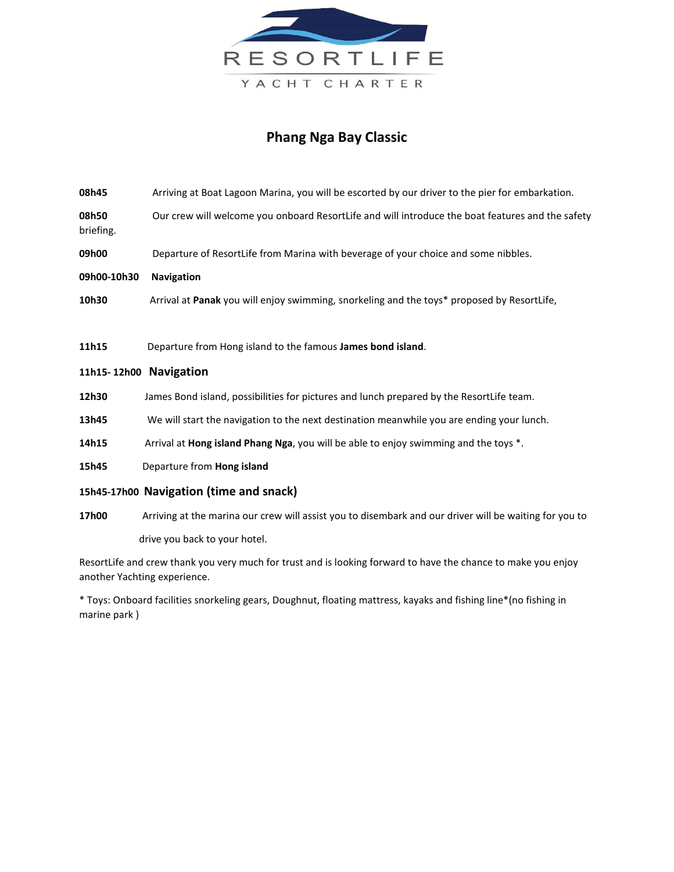

## **Phang Nga Bay Classic**

- **08h45** Arriving at Boat Lagoon Marina, you will be escorted by our driver to the pier for embarkation. **08h50** Our crew will welcome you onboard ResortLife and will introduce the boat features and the safety briefing.
- **09h00** Departure of ResortLife from Marina with beverage of your choice and some nibbles.
- **09h00-10h30 Navigation**
- **10h30** Arrival at **Panak** you will enjoy swimming, snorkeling and the toys\* proposed by ResortLife,
- **11h15** Departure from Hong island to the famous **James bond island**.

## **11h15- 12h00 Navigation**

- **12h30** James Bond island, possibilities for pictures and lunch prepared by the ResortLife team.
- **13h45** We will start the navigation to the next destination meanwhile you are ending your lunch.
- **14h15** Arrival at **Hong island Phang Nga**, you will be able to enjoy swimming and the toys \*.
- **15h45** Departure from **Hong island**

## **15h45-17h00 Navigation (time and snack)**

**17h00** Arriving at the marina our crew will assist you to disembark and our driver will be waiting for you to drive you back to your hotel.

ResortLife and crew thank you very much for trust and is looking forward to have the chance to make you enjoy another Yachting experience.

\* Toys: Onboard facilities snorkeling gears, Doughnut, floating mattress, kayaks and fishing line\*(no fishing in marine park )